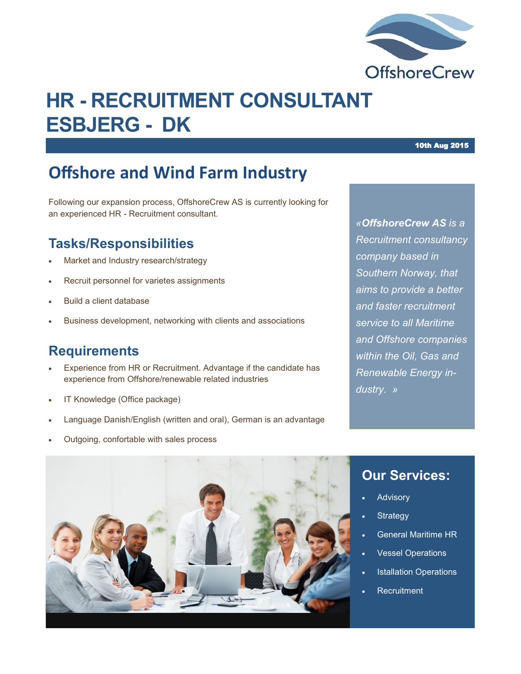

# **HR - RECRUITMENT CONSULTANT ESBJERG - DK**

## **Offshore and Wind Farm Industry**

Following our expansion process, OffshoreCrew AS is currently looking for an experienced HR - Recruitment consultant.

#### **Tasks/Responsibilities**

- Market and Industry research/strategy
- Recruit personnel for varietes assignments
- Build a client database
- Business development, networking with clients and associations

#### **Requirements**

- Experience from HR or Recruitment. Advantage if the candidate has experience from Offshore/renewable related industries
- IT Knowledge (Office package)
- Language Danish/English (written and oral), German is an advantage
- Outgoing, confortable with sales process

*«OffshoreCrew AS is a Recruitment consultancy company based in Southern Norway, that aims to provide a better and faster recruitment service to all Maritime and Offshore companies within the Oil, Gas and Renewable Energy industry. »*



#### **Our Services:**

- Advisory
- **Strategy**
- General Maritime HR
- Vessel Operations
- Istallation Operations
- **Recruitment**